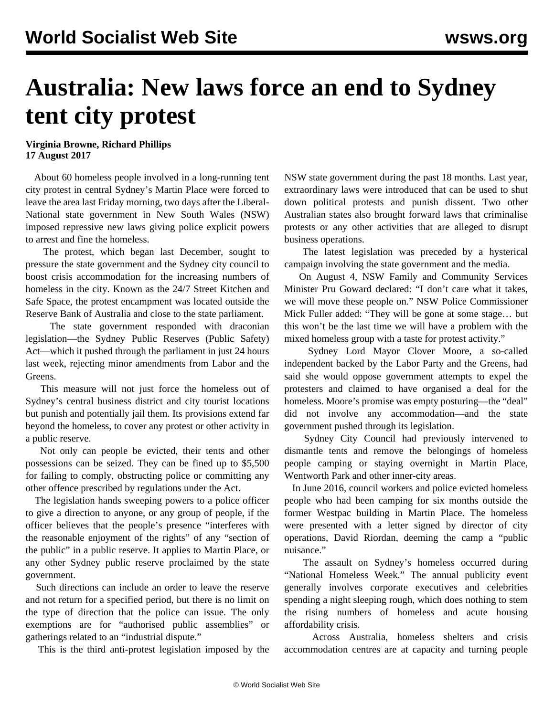## **Australia: New laws force an end to Sydney tent city protest**

## **Virginia Browne, Richard Phillips 17 August 2017**

 About 60 homeless people involved in a long-running tent city protest in central Sydney's Martin Place were forced to leave the area last Friday morning, two days after the Liberal-National state government in New South Wales (NSW) imposed repressive new laws giving police explicit powers to arrest and fine the homeless.

 The protest, which began last December, sought to pressure the state government and the Sydney city council to boost crisis accommodation for the increasing numbers of homeless in the city. Known as the 24/7 Street Kitchen and Safe Space, the protest encampment was located outside the Reserve Bank of Australia and close to the state parliament.

 The state government responded with draconian legislation—the Sydney Public Reserves (Public Safety) Act—which it pushed through the parliament in just 24 hours last week, rejecting minor amendments from Labor and the Greens.

 This measure will not just force the homeless out of Sydney's central business district and city tourist locations but punish and potentially jail them. Its provisions extend far beyond the homeless, to cover any protest or other activity in a public reserve.

 Not only can people be evicted, their tents and other possessions can be seized. They can be fined up to \$5,500 for failing to comply, obstructing police or committing any other offence prescribed by regulations under the Act.

 The legislation hands sweeping powers to a police officer to give a direction to anyone, or any group of people, if the officer believes that the people's presence "interferes with the reasonable enjoyment of the rights" of any "section of the public" in a public reserve. It applies to Martin Place, or any other Sydney public reserve proclaimed by the state government.

 Such directions can include an order to leave the reserve and not return for a specified period, but there is no limit on the type of direction that the police can issue. The only exemptions are for "authorised public assemblies" or gatherings related to an "industrial dispute."

This is the third anti-protest legislation imposed by the

NSW state government during the past 18 months. Last year, [extraordinary](/en/articles/2016/05/12/laws-m12.html) laws were introduced that can be used to shut down political protests and punish dissent. Two other Australian states also brought forward laws that [criminalise](/en/articles/2016/03/18/prot-m18.html) [protests](/en/articles/2016/03/18/prot-m18.html) or any other activities that are alleged to disrupt business operations.

 The latest legislation was preceded by a hysterical campaign involving the state government and the media.

 On August 4, NSW Family and Community Services Minister Pru Goward declared: "I don't care what it takes, we will move these people on." NSW Police Commissioner Mick Fuller added: "They will be gone at some stage… but this won't be the last time we will have a problem with the mixed homeless group with a taste for protest activity."

 Sydney Lord Mayor Clover Moore, a so-called independent backed by the Labor Party and the Greens, had said she would oppose government attempts to expel the protesters and claimed to have organised a deal for the homeless. Moore's promise was empty posturing—the "deal" did not involve any accommodation—and the state government pushed through its legislation.

 Sydney City Council had previously intervened to dismantle tents and remove the belongings of homeless people camping or staying overnight in Martin Place, [Wentworth Park](/en/articles/2015/02/23/home-f23.html) and other inner-city areas.

 In June 2016, council workers and police evicted homeless people who had been camping for six months outside the former Westpac building in Martin Place. The homeless were presented with a letter signed by director of city operations, David Riordan, deeming the camp a "public nuisance."

 The assault on Sydney's homeless occurred during "National Homeless Week." The annual publicity event generally involves corporate executives and celebrities spending a night sleeping rough, which does nothing to stem the rising numbers of homeless and acute housing affordability crisis.

 Across Australia, homeless shelters and crisis accommodation centres are at capacity and turning people